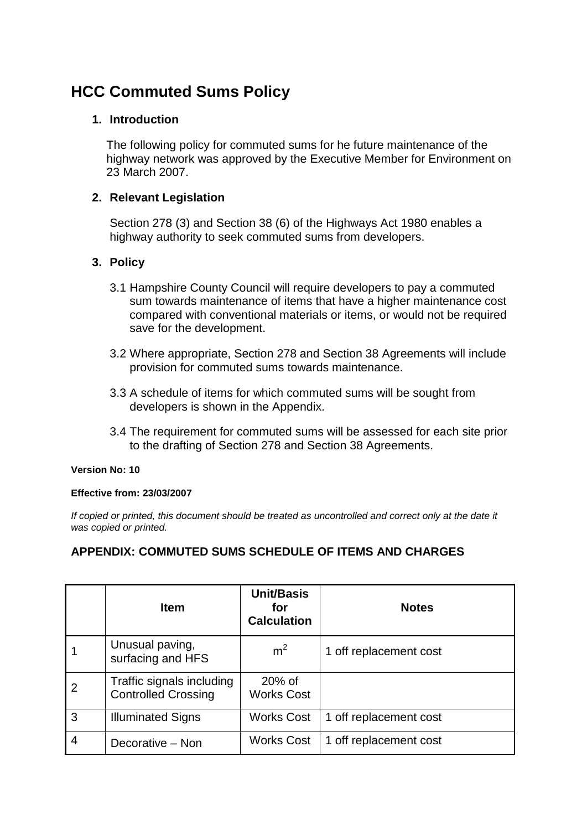# **HCC Commuted Sums Policy**

#### **1. Introduction**

The following policy for commuted sums for he future maintenance of the highway network was approved by the Executive Member for Environment on 23 March 2007.

## **2. Relevant Legislation**

Section 278 (3) and Section 38 (6) of the Highways Act 1980 enables a highway authority to seek commuted sums from developers.

## **3. Policy**

- 3.1 Hampshire County Council will require developers to pay a commuted sum towards maintenance of items that have a higher maintenance cost compared with conventional materials or items, or would not be required save for the development.
- 3.2 Where appropriate, Section 278 and Section 38 Agreements will include provision for commuted sums towards maintenance.
- 3.3 A schedule of items for which commuted sums will be sought from developers is shown in the Appendix.
- 3.4 The requirement for commuted sums will be assessed for each site prior to the drafting of Section 278 and Section 38 Agreements.

#### **Version No: 10**

#### **Effective from: 23/03/2007**

*If copied or printed, this document should be treated as uncontrolled and correct only at the date it was copied or printed.* 

## **APPENDIX: COMMUTED SUMS SCHEDULE OF ITEMS AND CHARGES**

|                         | <b>Item</b>                                             | <b>Unit/Basis</b><br>for<br><b>Calculation</b> | <b>Notes</b>           |
|-------------------------|---------------------------------------------------------|------------------------------------------------|------------------------|
| $\overline{\mathbf{1}}$ | Unusual paving,<br>surfacing and HFS                    | m <sup>2</sup>                                 | 1 off replacement cost |
| 2                       | Traffic signals including<br><b>Controlled Crossing</b> | $20%$ of<br><b>Works Cost</b>                  |                        |
| $\mathbf{3}$            | <b>Illuminated Signs</b>                                | <b>Works Cost</b>                              | 1 off replacement cost |
| $\overline{4}$          | Decorative - Non                                        | <b>Works Cost</b>                              | 1 off replacement cost |